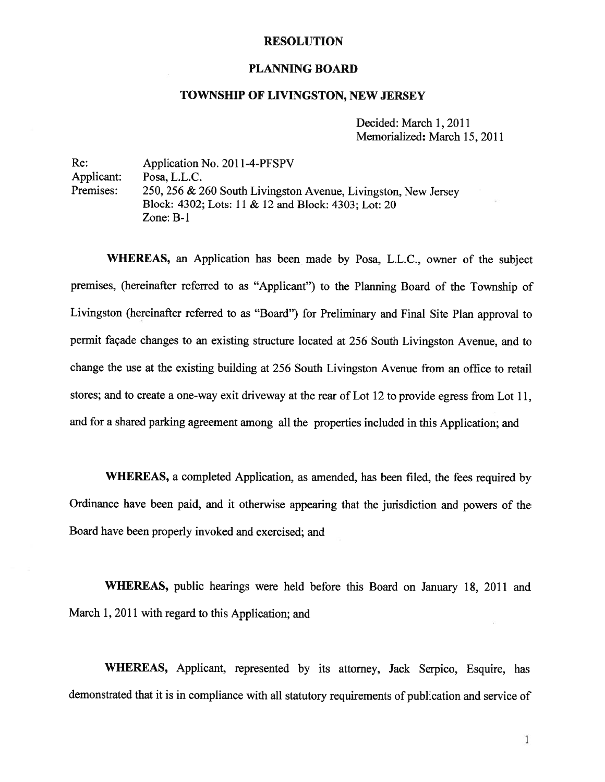#### **RESOLUTION**

#### PLANNING BOARD

#### TOWNSHIP OF LIVINGSTON, NEW JERSEY

Decided: March 1, 2011 Memorialized: March 15, 2011

Re: Application No. 2011-4-PFSPV Applicant: Posa, L.L.C. Premises: 250, <sup>256</sup> & <sup>260</sup> South Livingston Avenue, Livingston, New Jersey Block: 4302; Lots: 11 & 12 and Block: 4303; Lot: 20 Zone: B-i

WHEREAS, an Application has been made by Posa, L.L.C., owner of the subject premises, (hereinafter referred to as "Applicant") to the Planning Board of the Township of Livingston (hereinafter referred to as "Board") for Preliminary and Final Site Plan approva<sup>l</sup> to permit façade changes to an existing structure located at <sup>256</sup> South Livingston Avenue, and to change the use at the existing building at 256 South Livingston Avenue from an office to retail stores; and to create <sup>a</sup> one-way exit driveway at the rear of Lot <sup>12</sup> to provide egress from Lot 11, and for <sup>a</sup> shared parking agreemen<sup>t</sup> among all the properties included in this Application; and

WHEREAS, <sup>a</sup> completed Application, as amended, has been filed, the fees required by Ordinance have been paid, and it otherwise appearing that the jurisdiction and powers of the Board have been properly invoked and exercised; and

WHEREAS, public hearings were held before this Board on January 18, <sup>2011</sup> and March 1, 2011 with regard to this Application; and

WHEREAS, Applicant, represented by its attorney, Jack Serpico, Esquire, has demonstrated that it is in compliance with all statutory requirements of publication and service of

 $\mathbf{1}$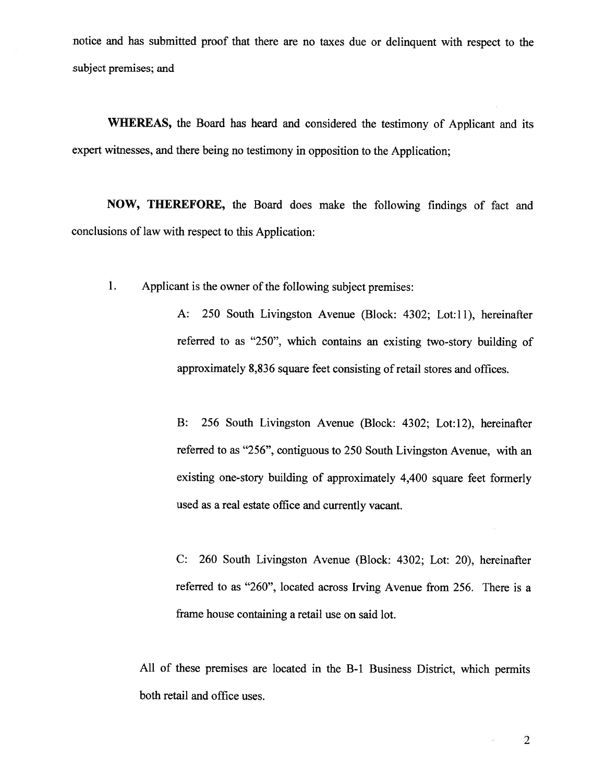notice and has submitted proo<sup>f</sup> that there are no taxes due or delinquent with respec<sup>t</sup> to the subject premises; and

WHEREAS, the Board has heard and considered the testimony of Applicant and its exper<sup>t</sup> witnesses, and there being no testimony in opposition to the Application;

NOW, THEREFORE, the Board does make the following findings of fact and conclusions of law with respec<sup>t</sup> to this Application:

1. Applicant is the owner of the following subject premises:

A: 250 South Livingston Avenue (Block: 4302; Lot:1l), hereinafter referred to as "250", which contains an existing two-story building of approximately 8,836 square feet consisting of retail stores and offices.

B: 256 South Livingston Avenue (Block: 4302; Lot:12), hereinafter referred to as "256", contiguous to 250 South Livingston Avenue, with an existing one-story building of approximately 4,400 square feet formerly used as <sup>a</sup> real estate office and currently vacant.

C: 260 South Livingston Avenue (Block: 4302; Lot: 20), hereinafter referred to as "260", located across Irving Avenue from 256. There is <sup>a</sup> frame house containing <sup>a</sup> retail use on said lot.

All of these premises are located in the B-1 Business District, which permits both retail and office uses.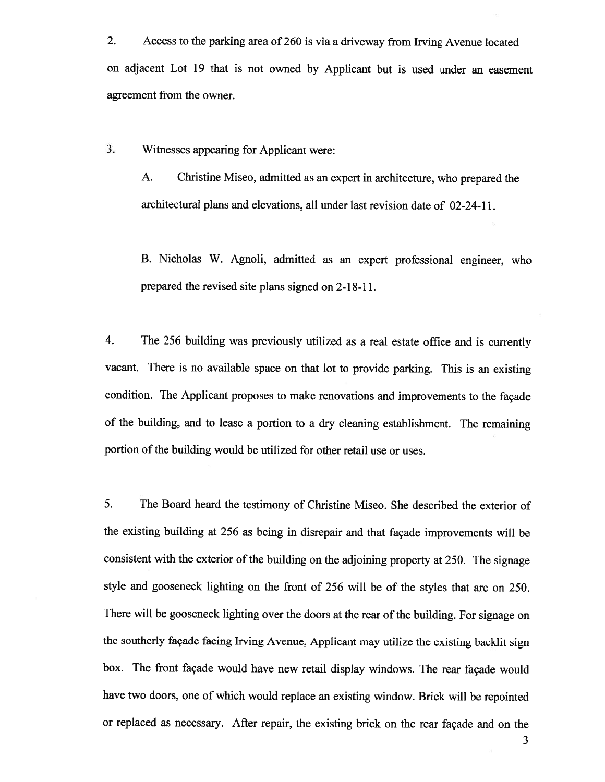2. Access to the parking area of <sup>260</sup> is via <sup>a</sup> driveway from Irving Avenue located on adjacent Lot 19 that is not owned by Applicant but is used under an easement agreemen<sup>t</sup> from the owner.

3. Witnesses appearing for Applicant were:

A. Christine Miseo, admitted as an exper<sup>t</sup> in architecture, who prepare<sup>d</sup> the architectural plans and elevations, all under last revision date of 02-24-11.

B. Nicholas W. Agnoli, admitted as an exper<sup>t</sup> professional engineer, who prepare<sup>d</sup> the revised site <sup>p</sup>lans signed on 2-18-11.

4. The <sup>256</sup> building was previously utilized as <sup>a</sup> real estate office and is currently vacant. There is no available space on that lot to provide parking. This is an existing condition. The Applicant proposes to make renovations and improvements to the façade of the building, and to lease <sup>a</sup> portion to <sup>a</sup> dry cleaning establishment. The remaining portion of the building would be utilized for other retail use or uses.

5. The Board heard the testimony of Christine Miseo. She described the exterior of the existing building at <sup>256</sup> as being in disrepair and that façade improvements will be consistent with the exterior of the building on the adjoining property at 250. The signage style and goosenec<sup>k</sup> lighting on the front of <sup>256</sup> will be of the styles that are on 250. There will be gooseneck lighting over the doors at the rear of the building. For signage on the southerly façade facing Irving Avenue, Applicant may utilize the existing backlit sign box. The front façade would have new retail display windows. The rear façade would have two doors, one of which would replace an existing window. Brick will be repointed or replaced as necessary. After repair, the existing brick on the rear façade and on the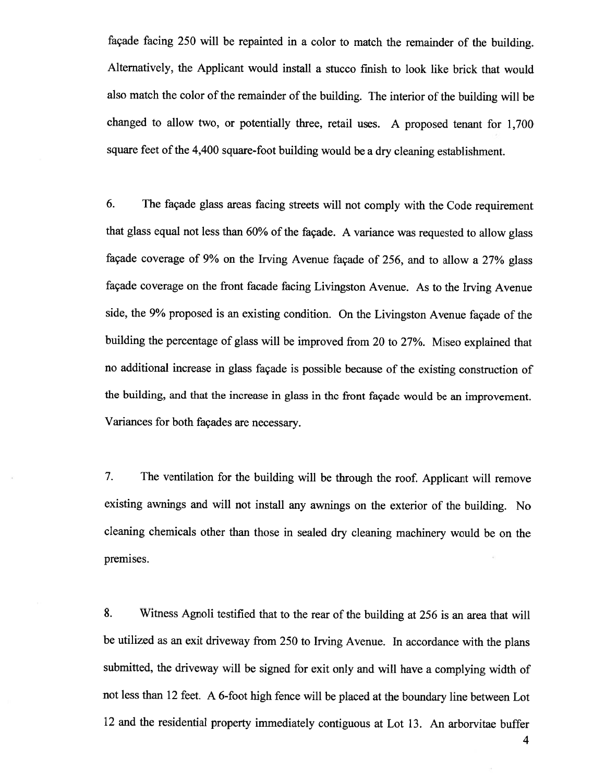façade facing <sup>250</sup> will be repainted in <sup>a</sup> color to match the remainder of the building. Alternatively, the Applicant would install <sup>a</sup> stucco finish to look like brick that would also match the color of the remainder of the building. The interior of the building will be changed to allow two, or potentially three, retail uses. <sup>A</sup> proposed tenant for 1,700 square feet of the 4,400 square-foot building would be <sup>a</sup> dry cleaning establishment.

6. The façade <sup>g</sup>lass areas facing streets will not comply with the Code requirement that <sup>g</sup>lass equa<sup>l</sup> not less than 60% of the façade. <sup>A</sup> variance was requested to allow <sup>g</sup>lass façade coverage of 9% on the Irving Avenue façade of 256, and to allow <sup>a</sup> 27% <sup>g</sup>lass façade coverage on the front facade facing Livingston Avenue. As to the Irving Avenue side, the 9% proposed is an existing condition. On the Livingston Avenue façade of the building the percentage of <sup>g</sup>lass will be improved from <sup>20</sup> to 27%. Miseo explained that no additional increase in <sup>g</sup>lass façade is possible because of the existing construction of the building, and that the increase in <sup>g</sup>lass in the front façade would be an improvement. Variances for both façades are necessary.

7. The ventilation for the building will be through the roof. Applicant will remove existing awnings and will not install any awnings on the exterior of the building. No cleaning chemicals other than those in sealed dry cleaning machinery would be on the premises.

8. Witness Agnoli testified that to the rear of the building at <sup>256</sup> is an area that will be utilized as an exit driveway from <sup>250</sup> to Irving Avenue. In accordance with the <sup>p</sup>lans submitted, the driveway will be signed for exit only and will have <sup>a</sup> complying width of not less than <sup>12</sup> feet. <sup>A</sup> 6-foot high fence will be <sup>p</sup>laced at the boundary line between Lot <sup>12</sup> and the residential property immediately contiguous at Lot 13. An arborvitae buffer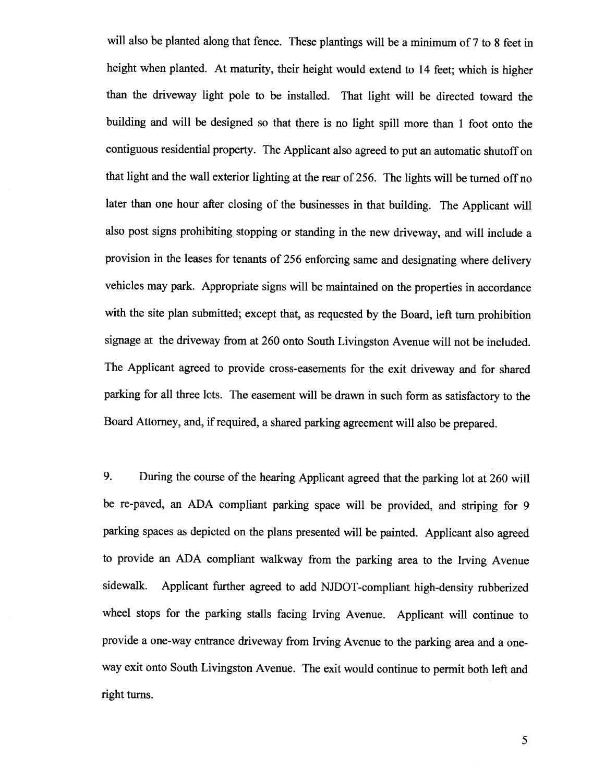will also be <sup>p</sup>lanted along that fence. These <sup>p</sup>lantings will be <sup>a</sup> minimum of <sup>7</sup> to <sup>8</sup> feet in height when <sup>p</sup>lanted. At maturity, their height would extend to <sup>14</sup> feet; which is higher than the driveway light pole to be installed. That light will be directed toward the building and will be designed so that there is no light spill more than <sup>1</sup> foot onto the contiguous residential property. The Applicant also agreed to put an automatic shutoff on that light and the wall exterior lighting at the rear of 256. The lights will be turned off no later than one hour after closing of the businesses in that building. The Applicant will also post signs prohibiting stopping or standing in the new driveway, and will include <sup>a</sup> provision in the leases for tenants of <sup>256</sup> enforcing same and designating where delivery vehicles may park. Appropriate signs will be maintained on the properties in accordance with the site <sup>p</sup>lan submitted; except that, as requested by the Board, left turn prohibition signage at the driveway from at <sup>260</sup> onto South Livingston Avenue will not be included. The Applicant agreed to provide cross-easements for the exit driveway and for shared parking for all three lots. The easement will be drawn in such form as satisfactory to the Board Attorney, and, if required, <sup>a</sup> shared parking agreement will also be prepared.

9. During the course of the hearing Applicant agreed that the parking lot at <sup>260</sup> will be re-paved, an ADA compliant parking space will be provided, and striping for <sup>9</sup> parking spaces as depicted on the <sup>p</sup>lans presented will be painted. Applicant also agreed to provide an ADA compliant walkway from the parking area to the Irving Avenue sidewalk. Applicant further agreed to add NJDOT-compliant high-density rubberized wheel stops for the parking stalls facing Irving Avenue. Applicant will continue to provide <sup>a</sup> one-way entrance driveway from Irving Avenue to the parking area and <sup>a</sup> one way exit onto South Livingston Avenue. The exit would continue to permit both left and right turns.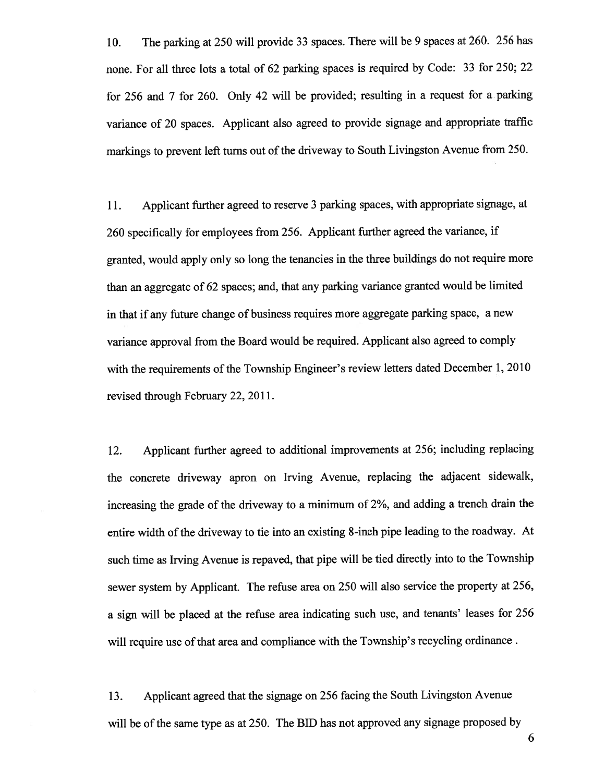10. The parking at <sup>250</sup> will provide <sup>33</sup> spaces. There will be <sup>9</sup> spaces at 260. <sup>256</sup> has none. For all three lots <sup>a</sup> total of <sup>62</sup> parking spaces is required by Code: <sup>33</sup> for 250; <sup>22</sup> for <sup>256</sup> and <sup>7</sup> for 260. Only <sup>42</sup> will be provided; resulting in <sup>a</sup> reques<sup>t</sup> for <sup>a</sup> parking variance of <sup>20</sup> spaces. Applicant also agree<sup>d</sup> to provide signage and appropriate traffic markings to preven<sup>t</sup> left turns out of the driveway to South Livingston Avenue from 250.

11. Applicant further agree<sup>d</sup> to reserve <sup>3</sup> parking spaces, with appropriate signage, at <sup>260</sup> specifically for employees from 256. Applicant further agree<sup>d</sup> the variance, if granted, would apply only so long the tenancies in the three buildings do not require more than an aggregate of <sup>62</sup> spaces; and, that any parking variance granted would be limited in that if any future change of business requires more aggregate parking space, <sup>a</sup> new variance approva<sup>l</sup> from the Board would be required. Applicant also agree<sup>d</sup> to comply with the requirements of the Township Engineer's review letters dated December 1, 2010 revised through February 22, 2011.

12. Applicant further agree<sup>d</sup> to additional improvements at 256; including replacing the concrete driveway apron on Irving Avenue, replacing the adjacent sidewalk, increasing the grade of the driveway to <sup>a</sup> minimum of 2%, and adding <sup>a</sup> trench drain the entire width of the driveway to tie into an existing 8-inch pipe leading to the roadway. At such time as Irving Avenue is repaved, that <sup>p</sup>ipe will be tied directly into to the Township sewer system by Applicant. The refuse area on <sup>250</sup> will also service the property at 256, <sup>a</sup> sign will be <sup>p</sup>laced at the refuse area indicating such use, and tenants' leases for <sup>256</sup> will require use of that area and compliance with the Township's recycling ordinance.

13. Applicant agree<sup>d</sup> that the signage on <sup>256</sup> facing the South Livingston Avenue will be of the same type as at 250. The BID has not approve<sup>d</sup> any signage propose<sup>d</sup> by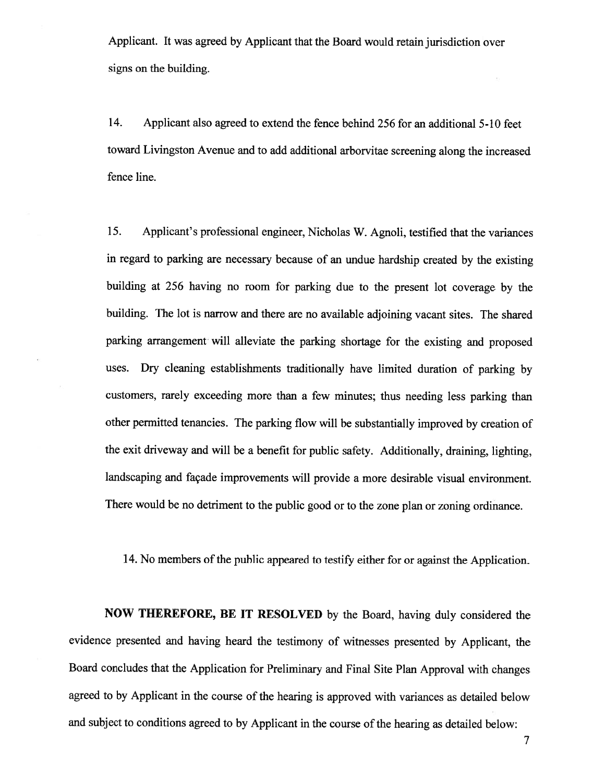Applicant. It was agree<sup>d</sup> by Applicant that the Board would retain jurisdiction over signs on the building.

14. Applicant also agreed to extend the fence behind 256 for an additional 5-10 feet toward Livingston Avenue and to add additional arborvitae screening along the increased fence line.

15. Applicant's professional engineer, Nicholas W. Agnoli, testified that the variances in regar<sup>d</sup> to parking are necessary because of an undue hardship created by the existing building at <sup>256</sup> having no room for parking due to the presen<sup>t</sup> lot coverage by the building. The lot is narrow and there are no available adjoining vacant sites. The shared parking arrangemen<sup>t</sup> will alleviate the parking shortage for the existing and propose<sup>d</sup> uses. Dry cleaning establishments traditionally have limited duration of parking by customers, rarely exceeding more than <sup>a</sup> few minutes; thus needing less parking than other permitted tenancies. The parking flow will be substantially improved by creation of the exit driveway and will be <sup>a</sup> benefit for public safety. Additionally, draining, lighting, landscaping and façade improvements will provide <sup>a</sup> more desirable visual environment. There would be no detriment to the public goo<sup>d</sup> or to the zone <sup>p</sup>lan or zoning ordinance.

14. No members of the public appeared to testify either for or against the Application.

NOW THEREFORE, BE IT RESOLVED by the Board, having duly considered the evidence presented and having heard the testimony of witnesses presented by Applicant, the Board concludes that the Application for Preliminary and Final Site Plan Approval with changes agree<sup>d</sup> to by Applicant in the course of the hearing is approve<sup>d</sup> with variances as detailed below and subject to conditions agreed to by Applicant in the course of the hearing as detailed below: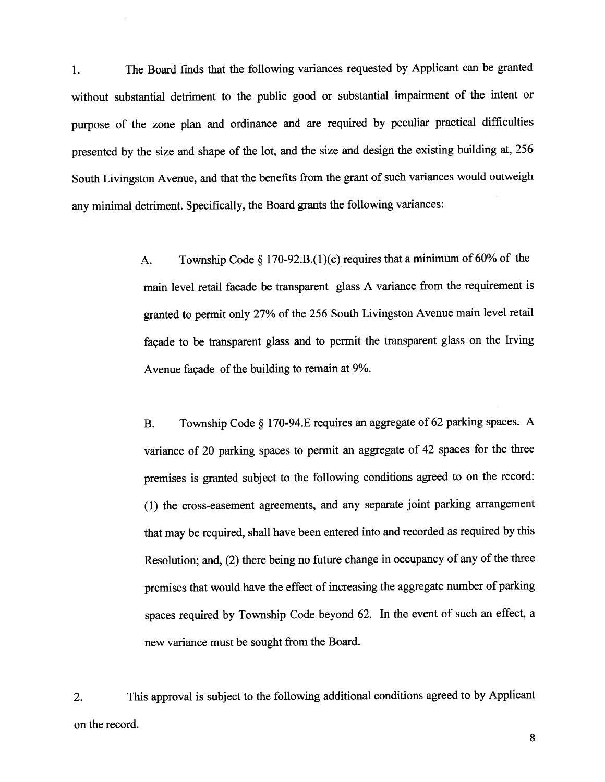1. The Board finds that the following variances requested by Applicant can be granted without substantial detriment to the public goo<sup>d</sup> or substantial impairment of the intent or purpose of the zone <sup>p</sup>lan and ordinance and are required by peculiar practical difficulties presented by the size and shape of the lot, and the size and design the existing building at, <sup>256</sup> South Livingston Avenue, and that the benefits from the gran<sup>t</sup> of such variances would outweigh any minimal detriment. Specifically, the Board grants the following variances:

> A. Township Code  $\S 170-92.B.(1)(c)$  requires that a minimum of 60% of the main level retail facade be transparent <sup>g</sup>lass <sup>A</sup> variance from the requirement is granted to permit only 27% of the <sup>256</sup> South Livingston Avenue main level retail façade to be transparent <sup>g</sup>lass and to permit the transparent <sup>g</sup>lass on the Irving Avenue façade of the building to remain at 9%.

> B. Township Code § 170-94. E requires an aggregate of 62 parking spaces. A variance of <sup>20</sup> parking spaces to permit an aggregate of <sup>42</sup> spaces for the three premises is granted subject to the following conditions agree<sup>d</sup> to on the record: (1) the cross-easement agreements, and any separate joint parking arrangemen<sup>t</sup> that may be required, shall have been entered into and recorded as required by this Resolution; and, (2) there being no future change in occupancy of any of the three premises that would have the effect of increasing the aggregate number of parking spaces required by Township Code beyond 62. In the event of such an effect, <sup>a</sup> new variance must be sought from the Board.

2. This approva<sup>l</sup> is subject to the following additional conditions agree<sup>d</sup> to by Applicant on the record.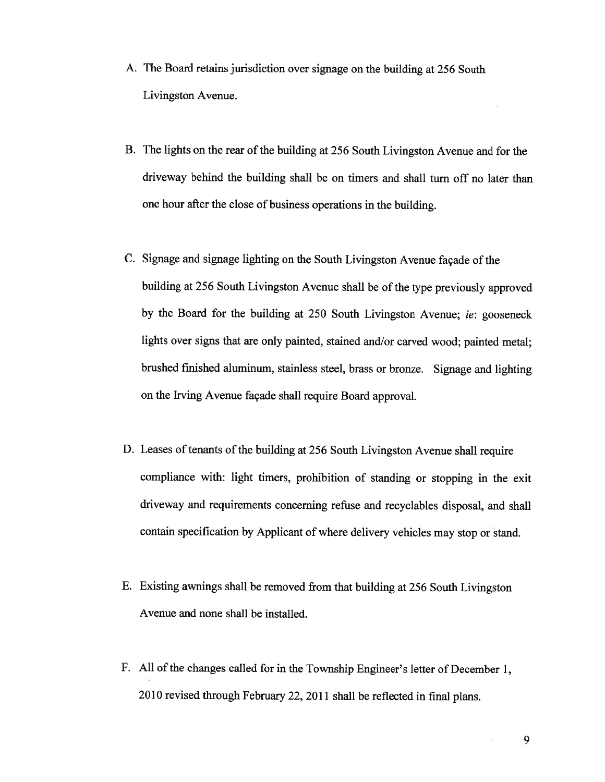- A. The Board retains jurisdiction over signage on the building at <sup>256</sup> South Livingston Avenue.
- B. The lights on the rear of the building at 256 South Livingston Avenue and for the driveway behind the building shall be on timers and shall turn off no later than one hour after the close of business operations in the building.
- C. Signage and signage lighting on the South Livingston Avenue façade of the building at <sup>256</sup> South Livingston Avenue shall be of the type previously approve<sup>d</sup> by the Board for the building at <sup>250</sup> South Livingston Avenue; ie: goosenec<sup>k</sup> lights over signs that are only painted, stained and/or carved wood; painted metal; brushed finished aluminum, stainless steel, brass or bronze. Signage and lighting on the Irving Avenue façade shall require Board approval.
- D. Leases of tenants of the building at <sup>256</sup> South Livingston Avenue shall require compliance with: light timers, prohibition of standing or stopping in the exit driveway and requirements concerning refuse and recyclables disposal, and shall contain specification by Applicant of where delivery vehicles may stop or stand.
- E. Existing awnings shall be removed from that building at <sup>256</sup> South Livingston Avenue and none shall be installed.
- F. All of the changes called for in the Township Engineer's letter of December 1, <sup>2010</sup> revised through February 22, <sup>2011</sup> shall be reflected in final <sup>p</sup>lans.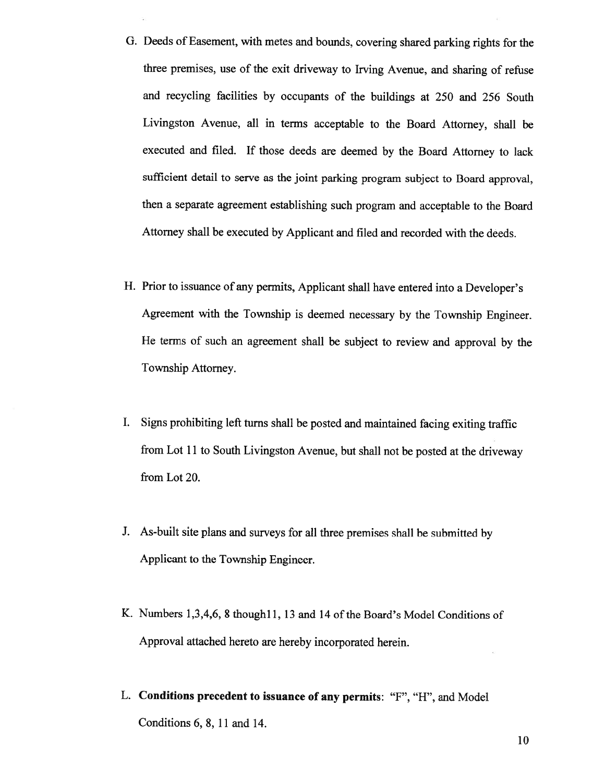- G. Deeds of Easement, with metes and bounds, covering shared parking rights for the three premises, use of the exit driveway to Irving Avenue, and sharing of refuse and recycling facilities by occupants of the buildings at <sup>250</sup> and <sup>256</sup> South Livingston Avenue, all in terms acceptable to the Board Attorney, shall be executed and filed. If those deeds are deemed by the Board Attorney to lack sufficient detail to serve as the joint parking program subject to Board approval, then <sup>a</sup> separate agreemen<sup>t</sup> establishing such program and acceptable to the Board Attorney shall be executed by Applicant and filed and recorded with the deeds.
- H. Prior to issuance of any permits, Applicant shall have entered into <sup>a</sup> Developer's Agreement with the Township is deemed necessary by the Township Engineer. He terms of such an agreemen<sup>t</sup> shall be subject to review and approva<sup>l</sup> by the Township Attorney.
- I. Signs prohibiting left turns shall be posted and maintained facing exiting traffic from Lot <sup>11</sup> to South Livingston Avenue, but shall not be posted at the driveway from Lot 20.
- J. As-built site <sup>p</sup>lans and surveys for all three premises shall be submitted by Applicant to the Township Engineer.
- K. Numbers 1,3,4,6, 8 though 11, 13 and 14 of the Board's Model Conditions of Approval attached hereto are hereby incorporated herein.
- L. Conditions precedent to issuance of any permits: "F", "H", and Model Conditions 6, 8, 11 and 14.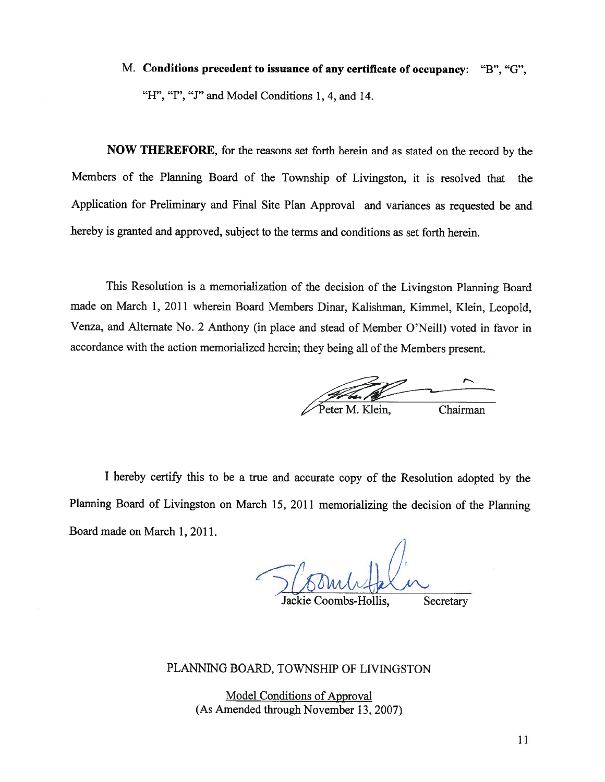# M. Conditions precedent to issuance of any certificate of occupancy: "B", "G", "H", "I", "J" and Model Conditions 1, 4, and 14.

NOW THEREFORE, for the reasons set forth herein and as stated on the record by the Members of the Planning Board of the Township of Livingston, it is resolved that the Application for Preliminary and Final Site Plan Approval and variances as requested be and hereby is granted and approved, subject to the terms and conditions as set forth herein.

This Resolution is <sup>a</sup> memorialization of the decision of the Livingston Planning Board made on March 1, <sup>2011</sup> wherein Board Members Dinar, Kalishman, Kimmel, Klein, Leopold, Venza, and Alternate No. <sup>2</sup> Anthony (in <sup>p</sup>lace and stead of Member O'Neill) voted in favor in accordance with the action memorialized herein; they being all of the Members present.

er M. Klein, Chairman

I hereby certify this to be a true and accurate copy of the Resolution adopted by the Planning Board of Livingston on March 15, <sup>2011</sup> memorializing the decision of the Planning Board made on March 1, 2011.

Jackie Coombs-Hollis, Secretary

## PLANNING BOARD, TOWNSHIP OF LIVINGSTON

Model Conditions of Approval (As Amended through November 13, 2007)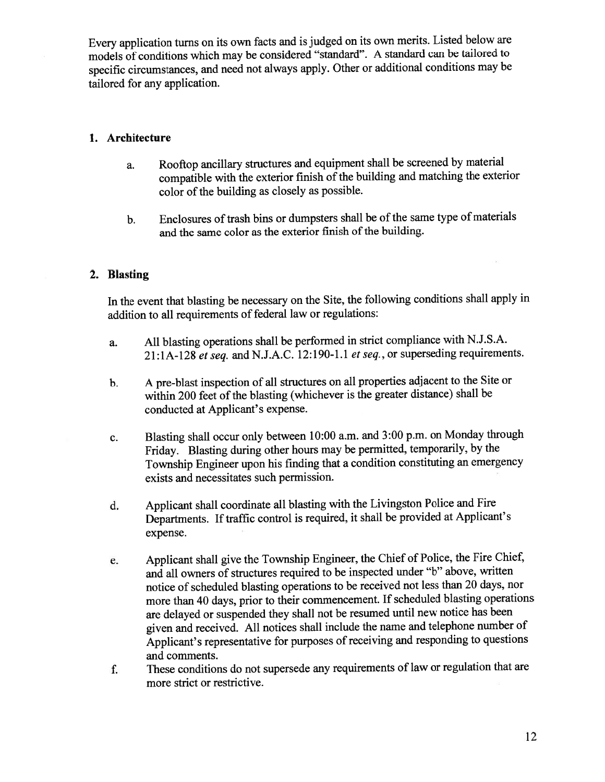Every application turns on its own facts and is judged on its own merits. Listed below are models of conditions which may be considered "standard". <sup>A</sup> standard can be tailored to specific circumstances, and need not always apply. Other or additional conditions may be tailored for any application.

# 1. Architecture

- a. Rooftop ancillary structures and equipment shall be screened by material compatible with the exterior finish of the building and matching the exterior color of the building as closely as possible.
- b. Enclosures of trash bins or dumpsters shall be of the same type of materials and the same color as the exterior finish of the building.

# 2. Blasting

In the event that blasting be necessary on the Site, the following conditions shall apply in addition to all requirements of federal law or regulations:

- a. All blasting operations shall be performed in strict compliance with N.J.S.A. 21:1A-128 et seq. and N.J.A.C. 12:190-1.1 et seq., or superseding requirements.
- b. <sup>A</sup> pre-blast inspection of all structures on all properties adjacent to the Site or within 200 feet of the blasting (whichever is the greater distance) shall be conducted at Applicant's expense.
- c. Blasting shall occur only between 10:00 a.m. and 3:00 p.m. on Monday through Friday. Blasting during other hours may be permitted, temporarily, by the Township Engineer upon his finding that <sup>a</sup> condition constituting an emergency exists and necessitates such permission.
- d. Applicant shall coordinate all blasting with the Livingston Police and Fire Departments. If traffic control is required, it shall be provided at Applicant's expense.
- e. Applicant shall <sup>g</sup>ive the Township Engineer, the Chief of Police, the Fire Chief, and all owners of structures required to be inspected under "b" above, written notice of scheduled blasting operations to be received not less than 20 days, nor more than <sup>40</sup> days, prior to their commencement. If scheduled blasting operations are delayed or suspended they shall not be resumed until new notice has been <sup>g</sup>iven and received. All notices shall include the name and telephone number of Applicant's representative for purposes of receiving and responding to questions and comments.
- f. These conditions do not supersede any requirements of law or regulation that are more strict or restrictive.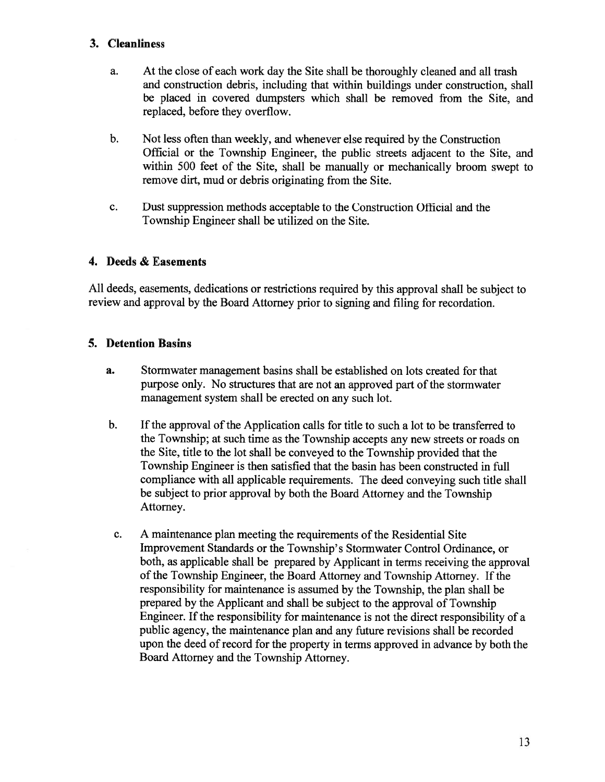## 3. Cleanliness

- a. At the close of each work day the Site shall be thoroughly cleaned and all trash and construction debris, including that within buildings under construction, shall be placed in covered dumpsters which shall be removed from the Site, and replaced, before they overflow.
- b. Not less often than weekly, and whenever else required by the Construction Official or the Township Engineer, the public streets adjacent to the Site, and within 500 feet of the Site, shall be manually or mechanically broom swep<sup>t</sup> to remove dirt, mud or debris originating from the Site.
- c. Dust suppression methods acceptable to the Construction Official and the Township Engineer shall be utilized on the Site.

## 4. Deeds & Easements

All deeds, easements, dedications or restrictions required by this approva<sup>l</sup> shall be subject to review and approva<sup>l</sup> by the Board Attorney prior to signing and filing for recordation.

## 5. Detention Basins

- a. Stormwater managemen<sup>t</sup> basins shall be established on lots created for that purpose only. No structures that are not an approved part of the stormwater managemen<sup>t</sup> system shall be erected on any such lot.
- b. If the approval of the Application calls for title to such a lot to be transferred to the Township; at such time as the Township accepts any new streets or roads on the Site, title to the lot shall be conveyed to the Township provided that the Township Engineer is then satisfied that the basin has been constructed in full compliance with all applicable requirements. The deed conveying such title shall be subject to prior approval by both the Board Attorney and the Township Attorney.
- c. A maintenance plan meeting the requirements of the Residential Site Improvement Standards or the Township's Stormwater Control Ordinance, or both, as applicable shall be prepared by Applicant in terms receiving the approval of the Township Engineer, the Board Attorney and Township Attorney. If the responsibility for maintenance is assumed by the Township, the <sup>p</sup>lan shall be prepared by the Applicant and shall be subject to the approva<sup>l</sup> of Township Engineer. If the responsibility for maintenance is not the direct responsibility of a public agency, the maintenance plan and any future revisions shall be recorded upon the deed of record for the property in terms approved in advance by both the Board Attorney and the Township Attorney.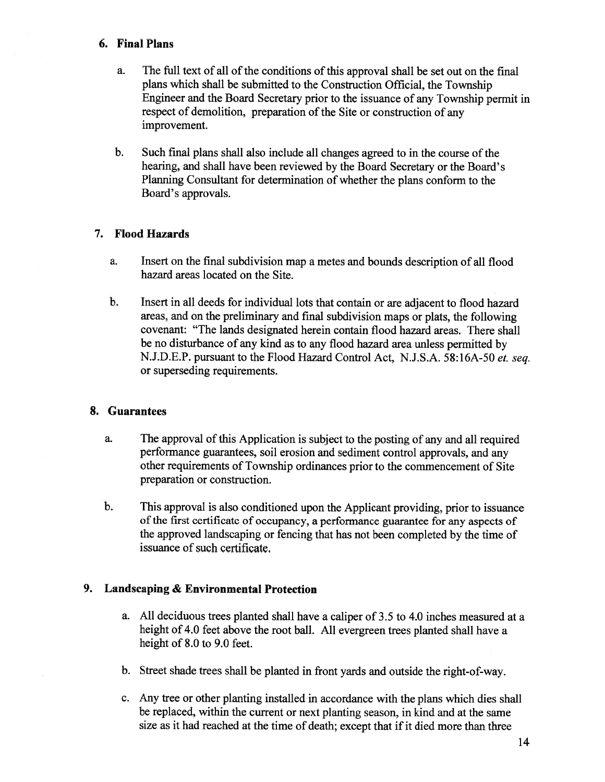### 6. Final Plans

- a. The full text of all of the conditions of this approval shall be set out on the final <sup>p</sup>lans which shall be submitted to the Construction Official, the Township Engineer and the Board Secretary prior to the issuance of any Township permit in respect of demolition, preparation of the Site or construction of any improvement.
- b. Such final plans shall also include all changes agreed to in the course of the hearing, and shall have been reviewed by the Board Secretary or the Board's Planning Consultant for determination of whether the <sup>p</sup>lans conform to the Board's approvals.

#### 7. Flood Hazards

- a. Insert on the final subdivision map <sup>a</sup> metes and bounds description of all flood hazard areas located on the Site.
- b. Insert in all deeds for individual lots that contain or are adjacent to flood hazard areas, and on the preliminary and final subdivision maps or <sup>p</sup>lats, the following covenant: "The lands designated herein contain flood hazard areas. There shall be no disturbance of any kind as to any flood hazard area unless permitted by N.J.D.E.P. pursuan<sup>t</sup> to the Flood Hazard Control Act, N.J.S.A. 58:16A-50 et. seq. or superseding requirements.

#### 8. Guarantees

- a. The approva<sup>l</sup> of this Application is subject to the posting of any and all required performance guarantees, soil erosion and sediment control approvals, and any other requirements of Township ordinances prior to the commencement of Site preparation or construction.
- b. This approva<sup>l</sup> is also conditioned upon the Applicant providing, prior to issuance of the first certificate of occupancy, <sup>a</sup> performance guarantee for any aspects of the approve<sup>d</sup> landscaping or fencing that has not been completed by the time of issuance of such certificate.

## 9. Landscaping & Environmental Protection

- a. All deciduous trees <sup>p</sup>lanted shall have <sup>a</sup> caliper of 3.5 to 4.0 inches measured at <sup>a</sup> height of 4.0 feet above the root ball. All evergreen trees <sup>p</sup>lanted shall have <sup>a</sup> height of 8.0 to 9.0 feet.
- b. Street shade trees shall be <sup>p</sup>lanted in front yards and outside the right-of-way.
- c. Any tree or other planting installed in accordance with the plans which dies shall be replaced, within the current or next <sup>p</sup>lanting season, in kind and at the same size as it had reached at the time of death; except that if it died more than three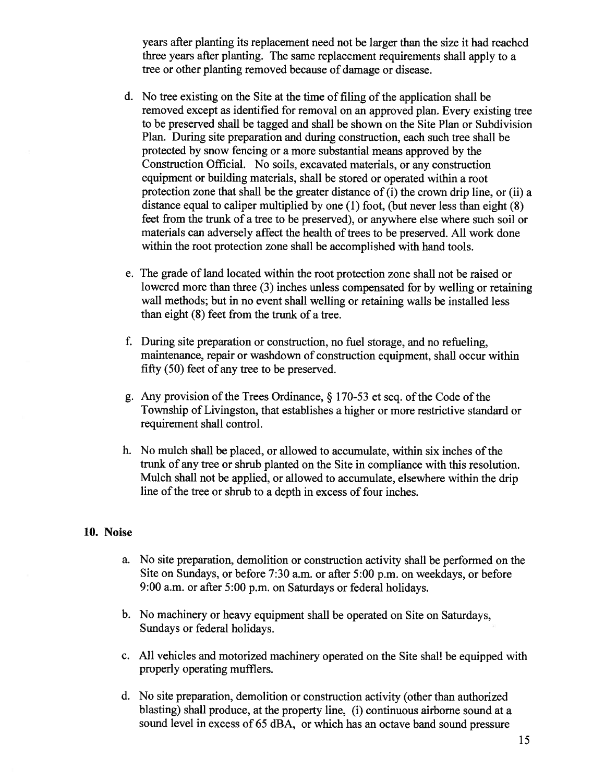years after planting its replacement need not be larger than the size it had reached three years after planting. The same replacement requirements shall apply to <sup>a</sup> tree or other planting removed because of damage or disease.

- d. No tree existing on the Site at the time of filing of the application shall be removed excep<sup>t</sup> as identified for removal on an approved <sup>p</sup>lan. Every existing tree to be preserved shall be tagged and shall be shown on the Site Plan or Subdivision Plan. During site preparation and during construction, each such tree shall be protected by snow fencing or <sup>a</sup> more substantial means approved by the Construction Official. No soils, excavated materials, or any construction equipment or building materials, shall be stored or operated within <sup>a</sup> root protection zone that shall be the greater distance of  $(i)$  the crown drip line, or  $(ii)$  a distance equal to caliper multiplied by one (1) foot, (but never less than eight (8) feet from the trunk of <sup>a</sup> tree to be preserved), or anywhere else where such soil or materials can adversely affect the health of trees to be preserved. All work done within the root protection zone shall be accomplished with hand tools.
- e. The grade of land located within the root protection zone shall not be raised or lowered more than three (3) inches unless compensated for by welling or retaining wall methods; but in no event shall welling or retaining walls be installed less than eight (8) feet from the trunk of <sup>a</sup> tree.
- f. During site preparation or construction, no fuel storage, and no refueling, maintenance, repair or washdown of construction equipment, shall occur within fifty (50) feet of any tree to be preserved.
- g. Any provision of the Trees Ordinance,  $\S$  170-53 et seq. of the Code of the Township of Livingston, that establishes <sup>a</sup> higher or more restrictive standard or requirement shall control.
- h. No mulch shall be placed, or allowed to accumulate, within six inches of the trunk of any tree or shrub planted on the Site in compliance with this resolution. Mulch shall not be applied, or allowed to accumulate, elsewhere within the drip line of the tree or shrub to a depth in excess of four inches.

#### 10. Noise

- a. No site preparation, demolition or construction activity shall be performed on the Site on Sundays, or before 7:30 a.m. or after 5:00 p.m. on weekdays, or before 9:00 a.m. or after 5:00 p.m. on Saturdays or federal holidays.
- b. No machinery or heavy equipment shall be operated on Site on Saturdays, Sundays or federal holidays.
- c. All vehicles and motorized machinery operated on the Site shall be equipped with properly operating mufflers.
- d. No site preparation, demolition or construction activity (other than authorized blasting) shall produce, at the property line, (i) continuous airborne sound at <sup>a</sup> sound level in excess of 65 dBA, or which has an octave band sound pressure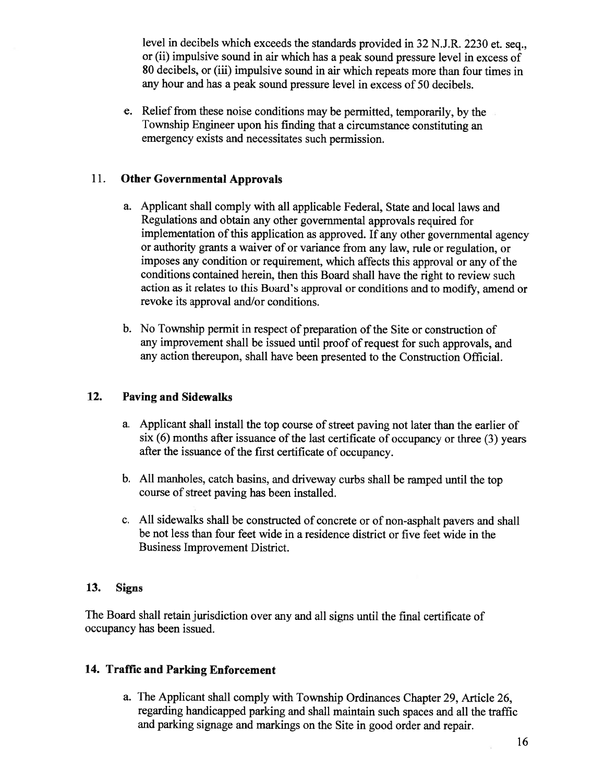level in decibels which exceeds the standards provided in <sup>32</sup> N.J.R. <sup>2230</sup> et. seq., or (ii) impulsive sound in air which has <sup>a</sup> pea<sup>k</sup> sound pressure level in excess of 80 decibels, or (iii) impulsive sound in air which repeats more than four times in any hour and has <sup>a</sup> peak sound pressure level in excess of 50 decibels.

e. Relief from these noise conditions may be permitted, temporarily, by the Township Engineer upon his finding that <sup>a</sup> circumstance constituting an emergency exists and necessitates such permission.

# 11. Other Governmental Approvals

- a. Applicant shall comply with all applicable Federal, State and local laws and Regulations and obtain any other governmental approvals required for implementation of this application as approved. If any other governmental agency or authority grants <sup>a</sup> waiver of or variance from any law, rule or regulation, or imposes any condition or requirement, which affects this approval or any of the conditions contained herein, then this Board shall have the right to review such action as it relates to this Board's approva<sup>l</sup> or conditions and to modify, amend or revoke its approval and/or conditions.
- b. No Township permit in respect of preparation of the Site or construction of any improvement shall be issued until proof of request for such approvals, and any action thereupon, shall have been presented to the Construction Official.

# 12. Paving and Sidewalks

- a. Applicant shall install the top course of street paving not later than the earlier of  $s$ ix (6) months after issuance of the last certificate of occupancy or three (3) years after the issuance of the first certificate of occupancy.
- b. All manholes, catch basins, and driveway curbs shall be rampe<sup>d</sup> until the top course of street paving has been installed.
- c. All sidewalks shall be constructed of concrete or of non-asphalt payers and shall be not less than four feet wide in <sup>a</sup> residence district or five feet wide in the Business Improvement District.

# 13. Signs

The Board shall retain jurisdiction over any and all signs until the final certificate of occupancy has been issued.

# 14. Traffic and Parking Enforcement

a. The Applicant shall comply with Township Ordinances Chapter 29, Article 26, regarding handicapped parking and shall maintain such spaces and all the traffic and parking signage and markings on the Site in goo<sup>d</sup> order and repair.